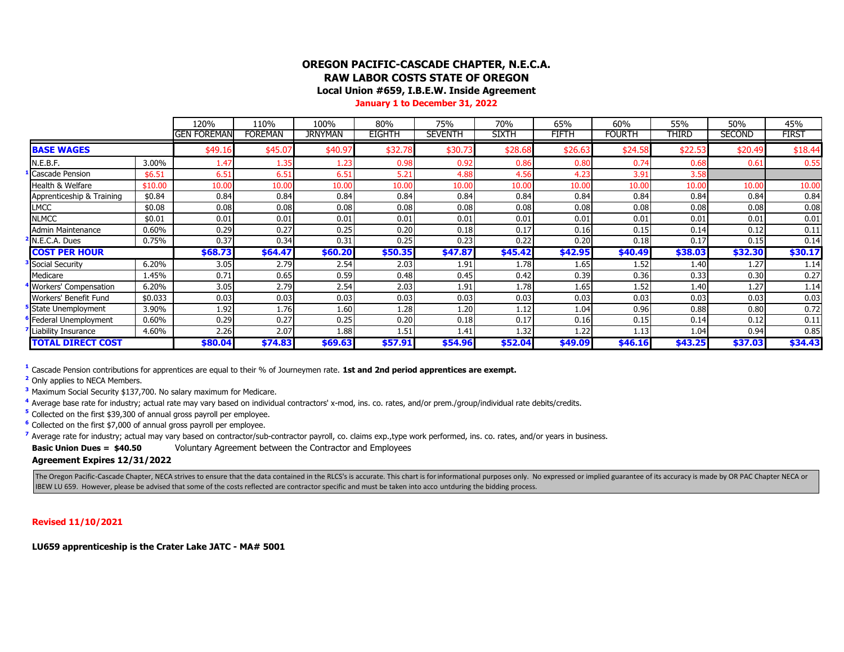### **OREGON PACIFIC-CASCADE CHAPTER, N.E.C.A. RAW LABOR COSTS STATE OF OREGON**

**Local Union #659, I.B.E.W. Inside Agreement**

**January 1 to December 31, 2022**

|                           |         | 120%               | 110%           | 100%           | 80%           | 75%            | 70%          | 65%     | 60%           | 55%     | 50%           | 45%          |
|---------------------------|---------|--------------------|----------------|----------------|---------------|----------------|--------------|---------|---------------|---------|---------------|--------------|
|                           |         | <b>GEN FOREMAN</b> | <b>FOREMAN</b> | <b>JRNYMAN</b> | <b>EIGHTH</b> | <b>SEVENTH</b> | <b>SIXTH</b> | FIFTH   | <b>FOURTH</b> | THIRD   | <b>SECOND</b> | <b>FIRST</b> |
| <b>BASE WAGES</b>         |         | \$49.16            | \$45.07        | \$40.9         | \$32.78       | \$30.73        | \$28.68      | \$26.63 | \$24.5        | \$22.53 | \$20.49       | \$18.44      |
| N.E.B.F.                  | 3.00%   | 1.47               | L.35           | l.23           | 0.98          | 0.92           | 0.86         | 0.80    | 0.74          | 0.68    | 0.61          | 0.55         |
| <b>Cascade Pension</b>    | \$6.51  | 6.51               | 6.51           | 6.51           | 5.21          | 4.88           | 4.56         | 4.23    | 3.91          | 3.58    |               |              |
| Health & Welfare          | \$10.00 | 10.00              | 10.00          | 10.00          | 10.00         | 10.00          | 10.00        | 10.00   | 10.00         | 10.00   | 10.00         | 10.00        |
| Apprenticeship & Training | \$0.84  | 0.84               | 0.84           | 0.84           | 0.84          | 0.84           | 0.84         | 0.84    | 0.84          | 0.84    | 0.84          | 0.84         |
| <b>LMCC</b>               | \$0.08  | 0.08               | 0.08           | 0.08           | 0.08          | 0.08           | 0.08         | 0.08    | 0.08          | 0.08    | 0.08          | 0.08         |
| <b>NLMCC</b>              | \$0.01  | 0.01               | 0.01           | 0.01           | 0.01          | 0.01           | 0.01         | 0.01    | 0.01          | 0.01    | 0.01          | 0.01         |
| Admin Maintenance         | 0.60%   | 0.29               | 0.27           | 0.25           | 0.20          | 0.18           | 0.17         | 0.16    | 0.15          | 0.14    | 0.12          | 0.11         |
| N.E.C.A. Dues             | 0.75%   | 0.37               | 0.34           | 0.31           | 0.25          | 0.23           | 0.22         | 0.20    | 0.18          | 0.17    | 0.15          | 0.14         |
| <b>COST PER HOUR</b>      |         | \$68.73            | \$64.47        | \$60.20        | \$50.35       | \$47.87        | \$45.42      | \$42.95 | \$40.49       | \$38.03 | \$32.30       | \$30.17      |
| <b>Social Security</b>    | 6.20%   | 3.05               | 2.79           | 2.54           | 2.03          | 1.91           | 1.78         | 1.65    | 1.52          | 1.40    | 1.27          | 1.14         |
| Medicare                  | 1.45%   | 0.71               | 0.65           | 0.59           | 0.48          | 0.45           | 0.42         | 0.39    | 0.36          | 0.33    | 0.30          | 0.27         |
| Workers' Compensation     | 6.20%   | 3.05               | 2.79           | 2.54           | 2.03          | 1.91           | 1.78         | 1.65    | 1.52          | 1.40    | 1.27          | 1.14         |
| Workers' Benefit Fund     | \$0.033 | 0.03               | 0.03           | 0.03           | 0.03          | 0.03           | 0.03         | 0.03    | 0.03          | 0.03    | 0.03          | 0.03         |
| State Unemployment        | 3.90%   | 1.92               | 1.76           | 1.60           | 1.28          | 1.20           | 1.12         | 1.04    | 0.96          | 0.88    | 0.80          | 0.72         |
| Federal Unemployment      | 0.60%   | 0.29               | 0.27           | 0.25           | 0.20          | 0.18           | 0.17         | 0.16    | 0.15          | 0.14    | 0.12          | 0.11         |
| Liability Insurance       | 4.60%   | 2.26               | 2.07           | 1.88           | 1.51          | 1.41           | 1.32         | 1.22    | 1.13          | 1.04    | 0.94          | 0.85         |
| <b>TOTAL DIRECT COST</b>  |         | \$80.04            | \$74.83        | \$69.63        | \$57.91       | \$54.96        | \$52.04      | \$49.09 | \$46.16       | \$43.25 | \$37.03       | \$34.43      |

**1** Cascade Pension contributions for apprentices are equal to their % of Journeymen rate. **1st and 2nd period apprentices are exempt.**

**<sup>2</sup>** Only applies to NECA Members.

**<sup>3</sup>** Maximum Social Security \$137,700. No salary maximum for Medicare.

**4** Average base rate for industry; actual rate may vary based on individual contractors' x-mod, ins. co. rates, and/or prem./group/individual rate debits/credits.

<sup>5</sup> Collected on the first \$39,300 of annual gross payroll per employee.

<sup>6</sup> Collected on the first \$7,000 of annual gross payroll per employee.

<sup>7</sup> Average rate for industry; actual may vary based on contractor/sub-contractor payroll, co. claims exp., type work performed, ins. co. rates, and/or years in business.

**Basic Union Dues = \$40.50** Voluntary Agreement between the Contractor and Employees

**Agreement Expires 12/31/2022**

The Oregon Pacific-Cascade Chapter, NECA strives to ensure that the data contained in the RLCS's is accurate. This chart is for informational purposes only. No expressed or implied guarantee of its accuracy is made by OR P IBEW LU 659. However, please be advised that some of the costs reflected are contractor specific and must be taken into acco untduring the bidding process.

#### **Revised 11/10/2021**

**LU659 apprenticeship is the Crater Lake JATC - MA# 5001**